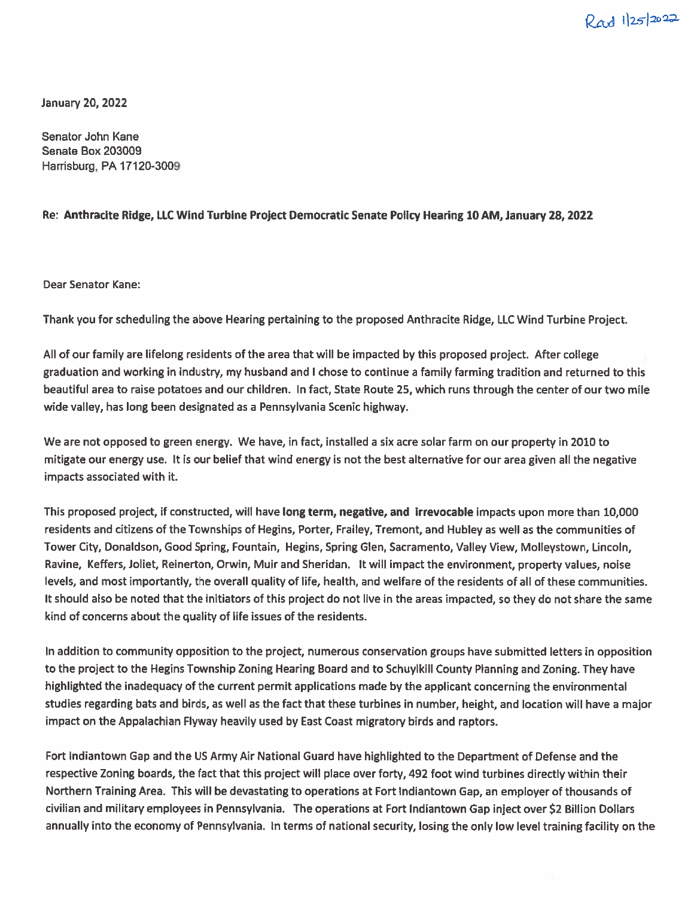$Rad$   $1|25|2022$ 

January 20, 2022

Senator John Kane Senate Box 203009 Harrisburg, PA 17120-3009

## Re: Anthracite Ridge, LLC Wind Turbine Project Democratic Senate Policy Hearing 10 AM, January 28, 2022

Dear Senator Kane:

Thank you for scheduling the above Hearing pertaining to the proposed Anthracite Ridge, LLC Wind Turbine Project.

All of our family are lifelong residents of the area that will be impacted by this proposed project. After college graduation and working in industry, my husband and I chose to continue <sup>a</sup> family farming tradition and returned to this beautiful area to raise potatoes and our children. In fact, State Route 25, which runs through the center of our two mile wide valley, has long been designated as <sup>a</sup> Pennsylvania Scenic highway.

We are not opposed to green energy. We have, in fact, installed <sup>a</sup> six acre solar farm on our property in 2010 to mitigate our energy use. It is our belief that wind energy is not the best alternative for our area given all the negative impacts associated with it.

This proposed project, if constructed, will have long term, negative, and irrevocable impacts upon more than 10,000 residents and citizens of the Townships of Hegins, Porter, Frailey, Tremont, and Hubley as well as the communities of Tower City, Donaldson, Good Spring, Fountain, Hegins, Spring Glen, Sacramento, Valley View, Molleystown, Lincoln, Ravine, Keffers, Joliet, Reinerton, Orwin, Muir and Sheridan. It will impact the environment, property values, noise levels, and most importantly, the overall quality of life, health, and welfare of the residents of all of these communities. It should also be noted that the initiators of this project do not live in the areas impacted, so they do not share the same kind of concerns about the quality of life issues of the residents.

In addition to community opposition to the project, numerous conservation groups have submitted letters in opposition to the project to the Hegins Township Zoning Hearing Board and to Schuylkill County Planning and Zoning. They have highlighted the inadequacy of the current permit applications made by the applicant concerning the environmental studies regarding bats and birds, as well as the fact that these turbines in number, height, and location will have <sup>a</sup> major impact on the Appalachian Flyway heavily used by East Coast migratory birds and raptors.

Fort Indiantown Gap and the US Army Air National Guard have highlighted to the Department of Defense and the respective Zoning boards, the fact that this project will <sup>p</sup>lace over forty, 492 foot wind turbines directly within their Northern Training Area. This will be devastating to operations at Fort indiantown Gap, an employer of thousands of civilian and military employees in Pennsylvania. The operations at Fort Indiantown Gap inject over \$2 Billion Dollars annually into the economy of Pennsylvania. In terms of national security, losing the only low level training facility on the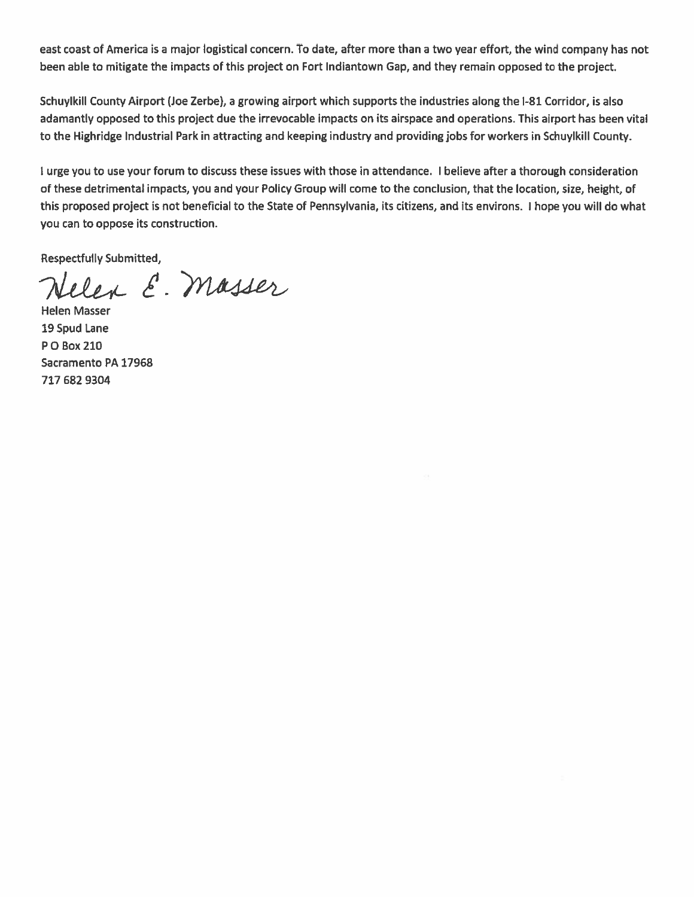east coast of America is <sup>a</sup> major logistical concern. To date, after more than <sup>a</sup> two year effort, the wind company has not been able to mitigate the impacts of this project on Fort Indiantown Gap, and they remain opposed to the project

Schuylkill County Airport (Joe Zerbe), <sup>a</sup> growing airport which supports the industries along the 1-81 Corridor, is also adamantly opposed to this project due the irrevocable impacts on its airspace and operations. This airport has been vital to the Highridge Industrial Park in attracting and keeping industry and providing jobs for workers in Schuylkill County.

I urge you to use your forum to discuss these issues with those in attendance. I believe after <sup>a</sup> thorough consideration of these detrimental impacts, you and your Policy Group will come to the conclusion, that the location, size, height, of this proposed project is not beneficial to the State of Pennsylvania, its citizens, and its environs. I hope you will do what you can to oppose its construction.

Respectfully Submitted,

Lelen E. Masser

Helen Masser 19 Spud Lane P0 Box 210 Sacramento PA 17968 717 682 9304